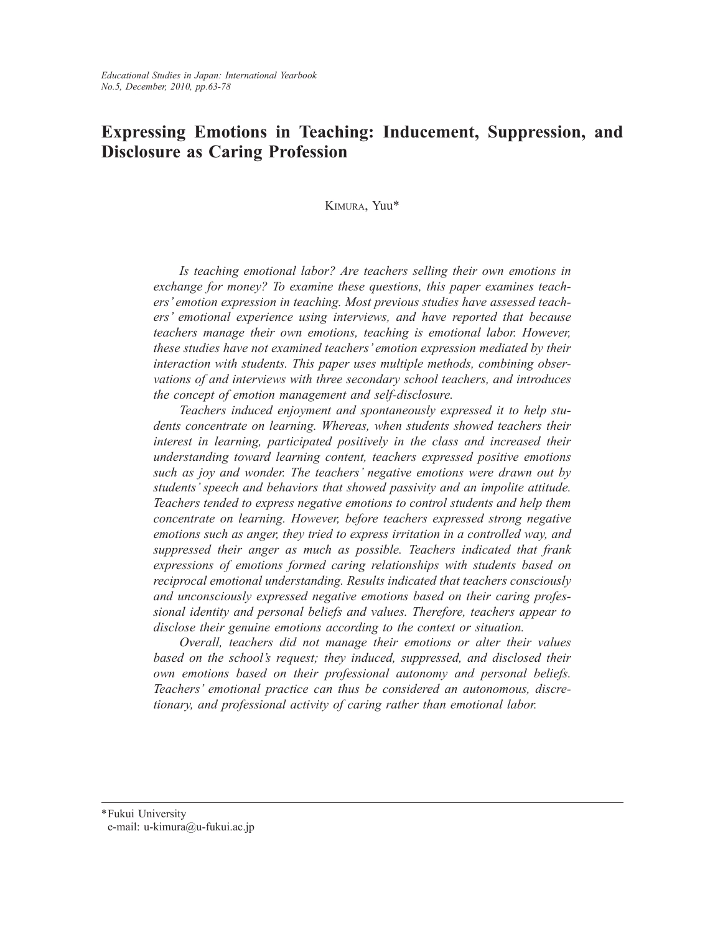# **Expressing Emotions in Teaching: Inducement, Suppression, and Disclosure as Caring Profession**

Kimura, Yuu\*

*Is teaching emotional labor? Are teachers selling their own emotions in exchange for money? To examine these questions, this paper examines teachers' emotion expression in teaching. Most previous studies have assessed teachers' emotional experience using interviews, and have reported that because teachers manage their own emotions, teaching is emotional labor. However, these studies have not examined teachers' emotion expression mediated by their interaction with students. This paper uses multiple methods, combining observations of and interviews with three secondary school teachers, and introduces the concept of emotion management and self-disclosure.*

*Teachers induced enjoyment and spontaneously expressed it to help students concentrate on learning. Whereas, when students showed teachers their interest in learning, participated positively in the class and increased their understanding toward learning content, teachers expressed positive emotions such as joy and wonder. The teachers' negative emotions were drawn out by students' speech and behaviors that showed passivity and an impolite attitude. Teachers tended to express negative emotions to control students and help them concentrate on learning. However, before teachers expressed strong negative emotions such as anger, they tried to express irritation in a controlled way, and suppressed their anger as much as possible. Teachers indicated that frank expressions of emotions formed caring relationships with students based on reciprocal emotional understanding. Results indicated that teachers consciously and unconsciously expressed negative emotions based on their caring professional identity and personal beliefs and values. Therefore, teachers appear to disclose their genuine emotions according to the context or situation.*

*Overall, teachers did not manage their emotions or alter their values based on the school's request; they induced, suppressed, and disclosed their own emotions based on their professional autonomy and personal beliefs. Teachers' emotional practice can thus be considered an autonomous, discretionary, and professional activity of caring rather than emotional labor.*

\*Fukui University e-mail: u-kimura@u-fukui.ac.jp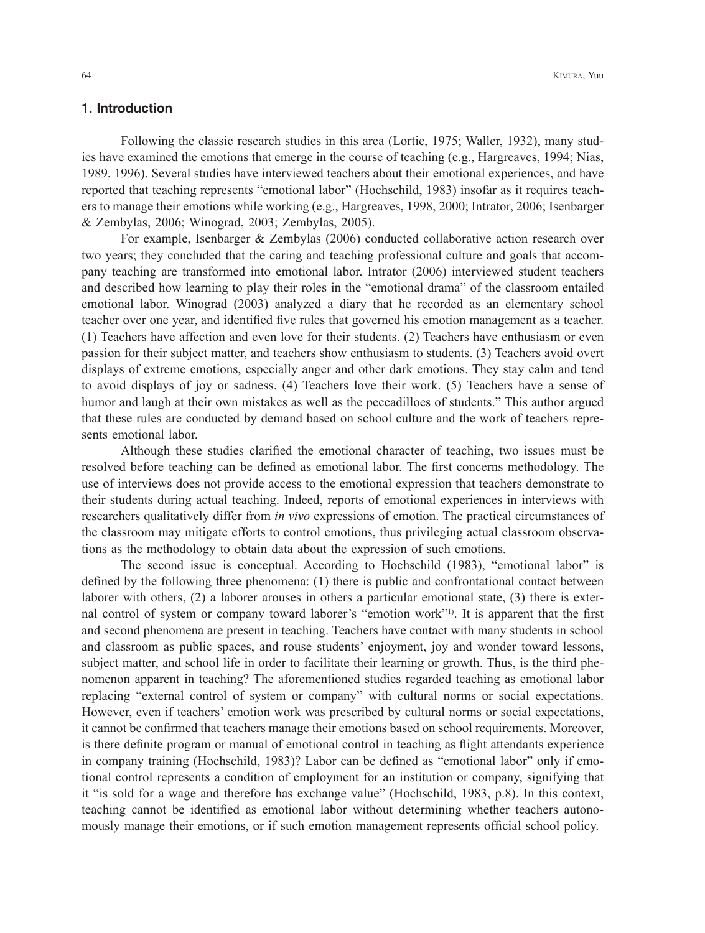# **1. Introduction**

Following the classic research studies in this area (Lortie, 1975; Waller, 1932), many studies have examined the emotions that emerge in the course of teaching (e.g., Hargreaves, 1994; Nias, 1989, 1996). Several studies have interviewed teachers about their emotional experiences, and have reported that teaching represents "emotional labor" (Hochschild, 1983) insofar as it requires teachers to manage their emotions while working (e.g., Hargreaves, 1998, 2000; Intrator, 2006; Isenbarger & Zembylas, 2006; Winograd, 2003; Zembylas, 2005).

For example, Isenbarger & Zembylas (2006) conducted collaborative action research over two years; they concluded that the caring and teaching professional culture and goals that accompany teaching are transformed into emotional labor. Intrator (2006) interviewed student teachers and described how learning to play their roles in the "emotional drama" of the classroom entailed emotional labor. Winograd (2003) analyzed a diary that he recorded as an elementary school teacher over one year, and identified five rules that governed his emotion management as a teacher. (1) Teachers have affection and even love for their students. (2) Teachers have enthusiasm or even passion for their subject matter, and teachers show enthusiasm to students. (3) Teachers avoid overt displays of extreme emotions, especially anger and other dark emotions. They stay calm and tend to avoid displays of joy or sadness. (4) Teachers love their work. (5) Teachers have a sense of humor and laugh at their own mistakes as well as the peccadilloes of students." This author argued that these rules are conducted by demand based on school culture and the work of teachers represents emotional labor.

Although these studies clarified the emotional character of teaching, two issues must be resolved before teaching can be defined as emotional labor. The first concerns methodology. The use of interviews does not provide access to the emotional expression that teachers demonstrate to their students during actual teaching. Indeed, reports of emotional experiences in interviews with researchers qualitatively differ from *in vivo* expressions of emotion. The practical circumstances of the classroom may mitigate efforts to control emotions, thus privileging actual classroom observations as the methodology to obtain data about the expression of such emotions.

The second issue is conceptual. According to Hochschild (1983), "emotional labor" is defined by the following three phenomena: (1) there is public and confrontational contact between laborer with others, (2) a laborer arouses in others a particular emotional state, (3) there is external control of system or company toward laborer's "emotion work"1). It is apparent that the first and second phenomena are present in teaching. Teachers have contact with many students in school and classroom as public spaces, and rouse students' enjoyment, joy and wonder toward lessons, subject matter, and school life in order to facilitate their learning or growth. Thus, is the third phenomenon apparent in teaching? The aforementioned studies regarded teaching as emotional labor replacing "external control of system or company" with cultural norms or social expectations. However, even if teachers' emotion work was prescribed by cultural norms or social expectations, it cannot be confirmed that teachers manage their emotions based on school requirements. Moreover, is there definite program or manual of emotional control in teaching as flight attendants experience in company training (Hochschild, 1983)? Labor can be defined as "emotional labor" only if emotional control represents a condition of employment for an institution or company, signifying that it "is sold for a wage and therefore has exchange value" (Hochschild, 1983, p.8). In this context, teaching cannot be identified as emotional labor without determining whether teachers autonomously manage their emotions, or if such emotion management represents official school policy.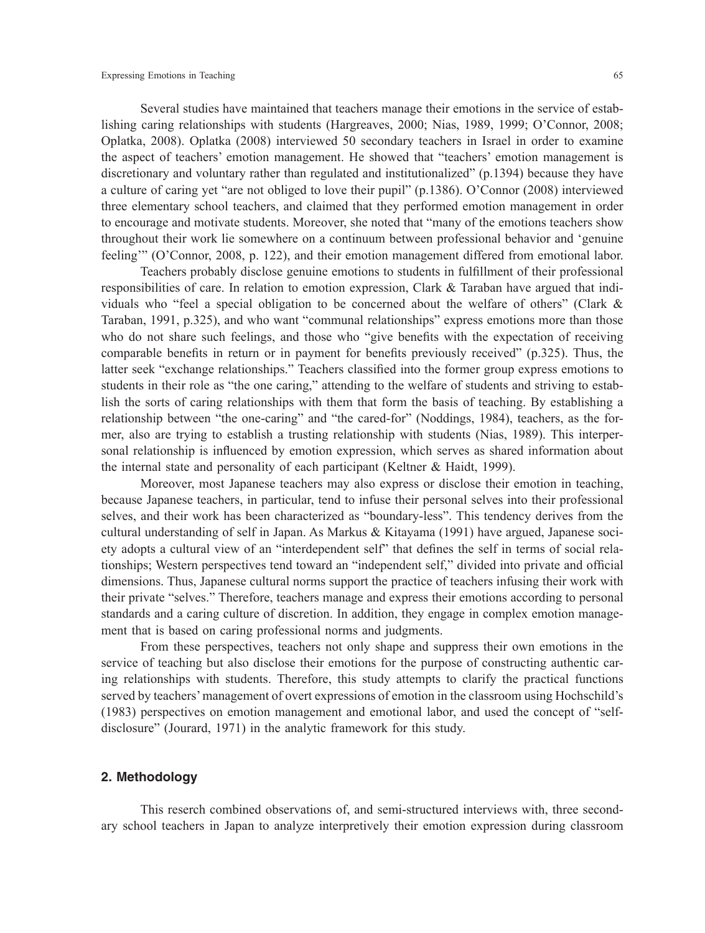Several studies have maintained that teachers manage their emotions in the service of establishing caring relationships with students (Hargreaves, 2000; Nias, 1989, 1999; O'Connor, 2008; Oplatka, 2008). Oplatka (2008) interviewed 50 secondary teachers in Israel in order to examine the aspect of teachers' emotion management. He showed that "teachers' emotion management is discretionary and voluntary rather than regulated and institutionalized" (p.1394) because they have a culture of caring yet "are not obliged to love their pupil" (p.1386). O'Connor (2008) interviewed three elementary school teachers, and claimed that they performed emotion management in order to encourage and motivate students. Moreover, she noted that "many of the emotions teachers show throughout their work lie somewhere on a continuum between professional behavior and 'genuine feeling'" (O'Connor, 2008, p. 122), and their emotion management differed from emotional labor.

Teachers probably disclose genuine emotions to students in fulfillment of their professional responsibilities of care. In relation to emotion expression, Clark & Taraban have argued that individuals who "feel a special obligation to be concerned about the welfare of others" (Clark & Taraban, 1991, p.325), and who want "communal relationships" express emotions more than those who do not share such feelings, and those who "give benefits with the expectation of receiving comparable benefits in return or in payment for benefits previously received" (p.325). Thus, the latter seek "exchange relationships." Teachers classified into the former group express emotions to students in their role as "the one caring," attending to the welfare of students and striving to establish the sorts of caring relationships with them that form the basis of teaching. By establishing a relationship between "the one-caring" and "the cared-for" (Noddings, 1984), teachers, as the former, also are trying to establish a trusting relationship with students (Nias, 1989). This interpersonal relationship is influenced by emotion expression, which serves as shared information about the internal state and personality of each participant (Keltner & Haidt, 1999).

Moreover, most Japanese teachers may also express or disclose their emotion in teaching, because Japanese teachers, in particular, tend to infuse their personal selves into their professional selves, and their work has been characterized as "boundary-less". This tendency derives from the cultural understanding of self in Japan. As Markus & Kitayama (1991) have argued, Japanese society adopts a cultural view of an "interdependent self" that defines the self in terms of social relationships; Western perspectives tend toward an "independent self," divided into private and official dimensions. Thus, Japanese cultural norms support the practice of teachers infusing their work with their private "selves." Therefore, teachers manage and express their emotions according to personal standards and a caring culture of discretion. In addition, they engage in complex emotion management that is based on caring professional norms and judgments.

From these perspectives, teachers not only shape and suppress their own emotions in the service of teaching but also disclose their emotions for the purpose of constructing authentic caring relationships with students. Therefore, this study attempts to clarify the practical functions served by teachers' management of overt expressions of emotion in the classroom using Hochschild's (1983) perspectives on emotion management and emotional labor, and used the concept of "selfdisclosure" (Jourard, 1971) in the analytic framework for this study.

### **2. Methodology**

This reserch combined observations of, and semi-structured interviews with, three secondary school teachers in Japan to analyze interpretively their emotion expression during classroom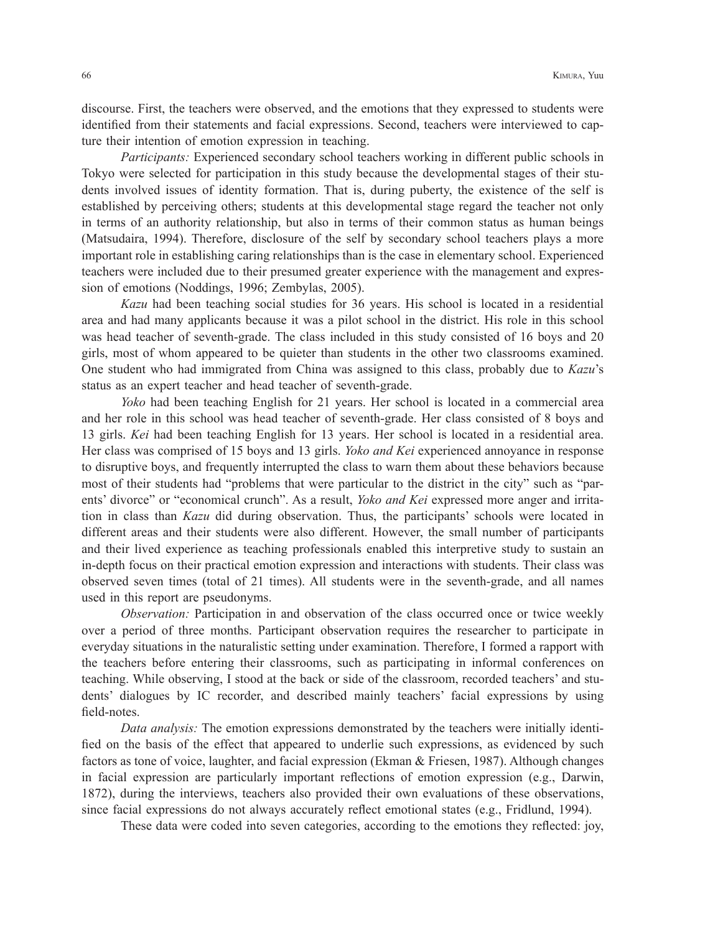discourse. First, the teachers were observed, and the emotions that they expressed to students were identified from their statements and facial expressions. Second, teachers were interviewed to capture their intention of emotion expression in teaching.

*Participants:* Experienced secondary school teachers working in different public schools in Tokyo were selected for participation in this study because the developmental stages of their students involved issues of identity formation. That is, during puberty, the existence of the self is established by perceiving others; students at this developmental stage regard the teacher not only in terms of an authority relationship, but also in terms of their common status as human beings (Matsudaira, 1994). Therefore, disclosure of the self by secondary school teachers plays a more important role in establishing caring relationships than is the case in elementary school. Experienced teachers were included due to their presumed greater experience with the management and expression of emotions (Noddings, 1996; Zembylas, 2005).

*Kazu* had been teaching social studies for 36 years. His school is located in a residential area and had many applicants because it was a pilot school in the district. His role in this school was head teacher of seventh-grade. The class included in this study consisted of 16 boys and 20 girls, most of whom appeared to be quieter than students in the other two classrooms examined. One student who had immigrated from China was assigned to this class, probably due to *Kazu*'s status as an expert teacher and head teacher of seventh-grade.

*Yoko* had been teaching English for 21 years. Her school is located in a commercial area and her role in this school was head teacher of seventh-grade. Her class consisted of 8 boys and 13 girls. *Kei* had been teaching English for 13 years. Her school is located in a residential area. Her class was comprised of 15 boys and 13 girls. *Yoko and Kei* experienced annoyance in response to disruptive boys, and frequently interrupted the class to warn them about these behaviors because most of their students had "problems that were particular to the district in the city" such as "parents' divorce" or "economical crunch". As a result, *Yoko and Kei* expressed more anger and irritation in class than *Kazu* did during observation. Thus, the participants' schools were located in different areas and their students were also different. However, the small number of participants and their lived experience as teaching professionals enabled this interpretive study to sustain an in-depth focus on their practical emotion expression and interactions with students. Their class was observed seven times (total of 21 times). All students were in the seventh-grade, and all names used in this report are pseudonyms.

*Observation:* Participation in and observation of the class occurred once or twice weekly over a period of three months. Participant observation requires the researcher to participate in everyday situations in the naturalistic setting under examination. Therefore, I formed a rapport with the teachers before entering their classrooms, such as participating in informal conferences on teaching. While observing, I stood at the back or side of the classroom, recorded teachers' and students' dialogues by IC recorder, and described mainly teachers' facial expressions by using field-notes.

*Data analysis:* The emotion expressions demonstrated by the teachers were initially identified on the basis of the effect that appeared to underlie such expressions, as evidenced by such factors as tone of voice, laughter, and facial expression (Ekman & Friesen, 1987). Although changes in facial expression are particularly important reflections of emotion expression (e.g., Darwin, 1872), during the interviews, teachers also provided their own evaluations of these observations, since facial expressions do not always accurately reflect emotional states (e.g., Fridlund, 1994).

These data were coded into seven categories, according to the emotions they reflected: joy,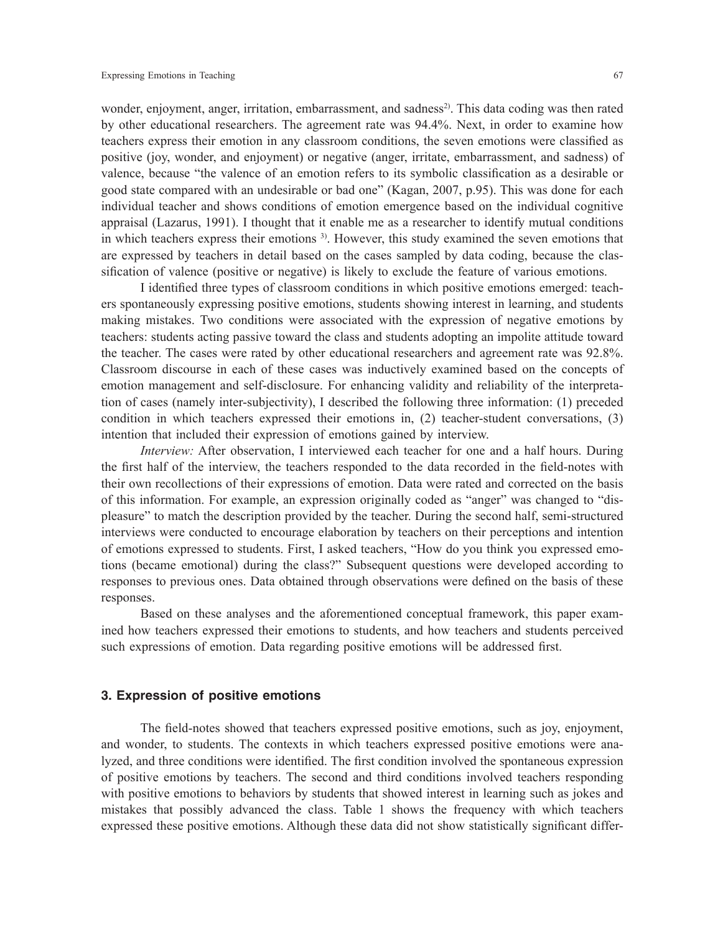wonder, enjoyment, anger, irritation, embarrassment, and sadness<sup>2)</sup>. This data coding was then rated by other educational researchers. The agreement rate was 94.4%. Next, in order to examine how teachers express their emotion in any classroom conditions, the seven emotions were classified as positive (joy, wonder, and enjoyment) or negative (anger, irritate, embarrassment, and sadness) of valence, because "the valence of an emotion refers to its symbolic classification as a desirable or good state compared with an undesirable or bad one" (Kagan, 2007, p.95). This was done for each individual teacher and shows conditions of emotion emergence based on the individual cognitive appraisal (Lazarus, 1991). I thought that it enable me as a researcher to identify mutual conditions in which teachers express their emotions 3). However, this study examined the seven emotions that are expressed by teachers in detail based on the cases sampled by data coding, because the classification of valence (positive or negative) is likely to exclude the feature of various emotions.

I identified three types of classroom conditions in which positive emotions emerged: teachers spontaneously expressing positive emotions, students showing interest in learning, and students making mistakes. Two conditions were associated with the expression of negative emotions by teachers: students acting passive toward the class and students adopting an impolite attitude toward the teacher. The cases were rated by other educational researchers and agreement rate was 92.8%. Classroom discourse in each of these cases was inductively examined based on the concepts of emotion management and self-disclosure. For enhancing validity and reliability of the interpretation of cases (namely inter-subjectivity), I described the following three information: (1) preceded condition in which teachers expressed their emotions in, (2) teacher-student conversations, (3) intention that included their expression of emotions gained by interview.

*Interview:* After observation, I interviewed each teacher for one and a half hours. During the first half of the interview, the teachers responded to the data recorded in the field-notes with their own recollections of their expressions of emotion. Data were rated and corrected on the basis of this information. For example, an expression originally coded as "anger" was changed to "displeasure" to match the description provided by the teacher. During the second half, semi-structured interviews were conducted to encourage elaboration by teachers on their perceptions and intention of emotions expressed to students. First, I asked teachers, "How do you think you expressed emotions (became emotional) during the class?" Subsequent questions were developed according to responses to previous ones. Data obtained through observations were defined on the basis of these responses.

Based on these analyses and the aforementioned conceptual framework, this paper examined how teachers expressed their emotions to students, and how teachers and students perceived such expressions of emotion. Data regarding positive emotions will be addressed first.

## **3. Expression of positive emotions**

The field-notes showed that teachers expressed positive emotions, such as joy, enjoyment, and wonder, to students. The contexts in which teachers expressed positive emotions were analyzed, and three conditions were identified. The first condition involved the spontaneous expression of positive emotions by teachers. The second and third conditions involved teachers responding with positive emotions to behaviors by students that showed interest in learning such as jokes and mistakes that possibly advanced the class. Table 1 shows the frequency with which teachers expressed these positive emotions. Although these data did not show statistically significant differ-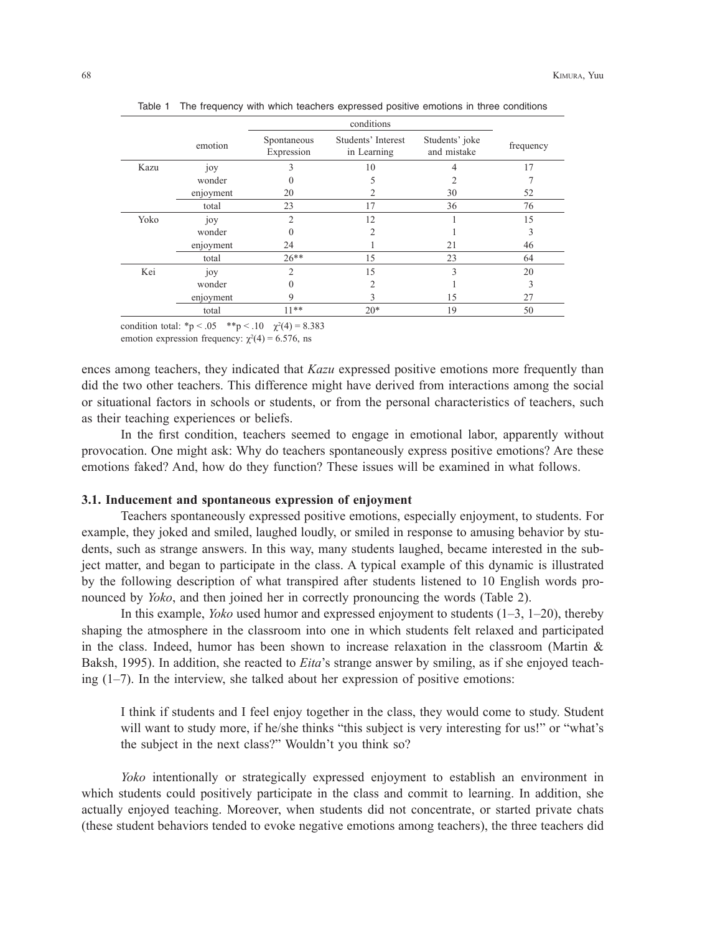|      |           |                           | conditions                        |                               |           |
|------|-----------|---------------------------|-----------------------------------|-------------------------------|-----------|
|      | emotion   | Spontaneous<br>Expression | Students' Interest<br>in Learning | Students' joke<br>and mistake | frequency |
| Kazu | joy<br>3  |                           | 10                                | 4                             | 17        |
|      | wonder    | 0                         |                                   | 2                             |           |
|      | enjoyment | 20                        |                                   | 30                            | 52        |
|      | total     | 23                        | 17                                | 36                            | 76        |
| Yoko | joy       | $\overline{2}$            | 12                                |                               | 15        |
|      | wonder    | 0                         | 2                                 |                               | 3         |
|      | enjoyment | 24                        |                                   | 21                            | 46        |
|      | total     | $26**$                    | 15                                | 23                            | 64        |
| Kei  | joy       | $\overline{2}$            | 15                                | 3                             | 20        |
|      | wonder    | $\theta$                  | 2                                 |                               | 3         |
|      | enjoyment | 9                         |                                   | 15                            | 27        |
|      | total     | $11***$                   | $20*$                             | 19                            | 50        |

Table 1 The frequency with which teachers expressed positive emotions in three conditions

condition total: \*p < .05 \*\*p < .10  $\chi^2(4) = 8.383$ emotion expression frequency:  $\chi^2(4) = 6.576$ , ns

ences among teachers, they indicated that *Kazu* expressed positive emotions more frequently than did the two other teachers. This difference might have derived from interactions among the social or situational factors in schools or students, or from the personal characteristics of teachers, such as their teaching experiences or beliefs.

In the first condition, teachers seemed to engage in emotional labor, apparently without provocation. One might ask: Why do teachers spontaneously express positive emotions? Are these emotions faked? And, how do they function? These issues will be examined in what follows.

### **3.1. Inducement and spontaneous expression of enjoyment**

Teachers spontaneously expressed positive emotions, especially enjoyment, to students. For example, they joked and smiled, laughed loudly, or smiled in response to amusing behavior by students, such as strange answers. In this way, many students laughed, became interested in the subject matter, and began to participate in the class. A typical example of this dynamic is illustrated by the following description of what transpired after students listened to 10 English words pronounced by *Yoko*, and then joined her in correctly pronouncing the words (Table 2).

In this example, *Yoko* used humor and expressed enjoyment to students (1–3, 1–20), thereby shaping the atmosphere in the classroom into one in which students felt relaxed and participated in the class. Indeed, humor has been shown to increase relaxation in the classroom (Martin  $\&$ Baksh, 1995). In addition, she reacted to *Eita*'s strange answer by smiling, as if she enjoyed teaching  $(1-7)$ . In the interview, she talked about her expression of positive emotions:

I think if students and I feel enjoy together in the class, they would come to study. Student will want to study more, if he/she thinks "this subject is very interesting for us!" or "what's the subject in the next class?" Wouldn't you think so?

*Yoko* intentionally or strategically expressed enjoyment to establish an environment in which students could positively participate in the class and commit to learning. In addition, she actually enjoyed teaching. Moreover, when students did not concentrate, or started private chats (these student behaviors tended to evoke negative emotions among teachers), the three teachers did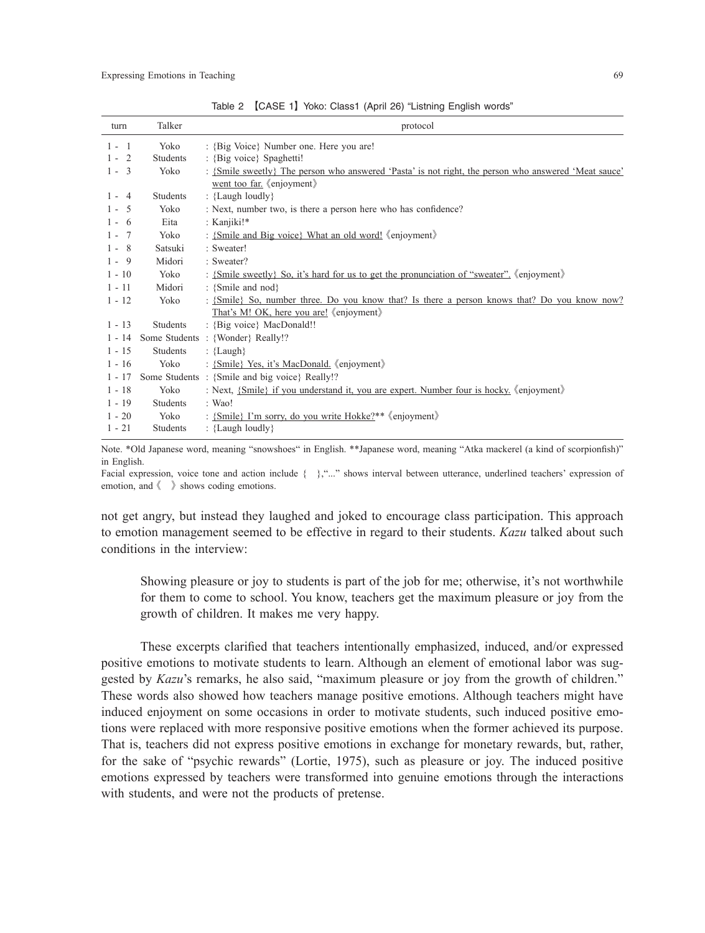| turn     | Talker          | protocol                                                                                                                          |
|----------|-----------------|-----------------------------------------------------------------------------------------------------------------------------------|
| $1 - 1$  | Yoko            | : {Big Voice} Number one. Here you are!                                                                                           |
| $1 - 2$  | <b>Students</b> | : {Big voice} Spaghetti!                                                                                                          |
| $1 - 3$  | Yoko            | : {Smile sweetly} The person who answered 'Pasta' is not right, the person who answered 'Meat sauce'<br>went too far. (enjoyment) |
| $1 - 4$  | <b>Students</b> | : {Laugh loudly}                                                                                                                  |
| $1 - 5$  | Yoko            | : Next, number two, is there a person here who has confidence?                                                                    |
| $1 - 6$  | Eita            | : Kanjiki!*                                                                                                                       |
| $1 - 7$  | Yoko            | : {Smile and Big voice} What an old word! (enjoyment)                                                                             |
| $1 - 8$  | Satsuki         | : Sweater!                                                                                                                        |
| $1 - 9$  | Midori          | : Sweater?                                                                                                                        |
| $1 - 10$ | Yoko            | : {Smile sweetly} So, it's hard for us to get the pronunciation of "sweater" (enjoyment)                                          |
| $1 - 11$ | Midori          | : {Smile and nod}                                                                                                                 |
| $1 - 12$ | Yoko            | : {Smile} So, number three. Do you know that? Is there a person knows that? Do you know now?                                      |
|          |                 | That's M! OK, here you are! (enjoyment)                                                                                           |
| $1 - 13$ | <b>Students</b> | : {Big voice} MacDonald!!                                                                                                         |
| $1 - 14$ |                 | Some Students : {Wonder} Really!?                                                                                                 |
| $1 - 15$ | <b>Students</b> | : ${Langh}$                                                                                                                       |
| $1 - 16$ | Yoko            | : {Smile} Yes, it's MacDonald. 《enjoyment》                                                                                        |
| $1 - 17$ |                 | Some Students: {Smile and big voice} Really!?                                                                                     |
| $1 - 18$ | Yoko            | : Next, {Smile} if you understand it, you are expert. Number four is hocky. $\langle$ enjoyment $\rangle$                         |
| $1 - 19$ | <b>Students</b> | : Wao!                                                                                                                            |
| $1 - 20$ | Yoko            | : {Smile} I'm sorry, do you write Hokke?** 《enjoyment》                                                                            |
| $1 - 21$ | Students        | : {Laugh loudly}                                                                                                                  |
|          |                 |                                                                                                                                   |

Table 2 【CASE 1】 Yoko: Class1 (April 26) "Listning English words"

Note. \*Old Japanese word, meaning "snowshoes" in English. \*\*Japanese word, meaning "Atka mackerel (a kind of scorpionfish)" in English.

Facial expression, voice tone and action include { },"..." shows interval between utterance, underlined teachers' expression of emotion, and 《 》 shows coding emotions.

not get angry, but instead they laughed and joked to encourage class participation. This approach to emotion management seemed to be effective in regard to their students. *Kazu* talked about such conditions in the interview:

Showing pleasure or joy to students is part of the job for me; otherwise, it's not worthwhile for them to come to school. You know, teachers get the maximum pleasure or joy from the growth of children. It makes me very happy.

These excerpts clarified that teachers intentionally emphasized, induced, and/or expressed positive emotions to motivate students to learn. Although an element of emotional labor was suggested by *Kazu*'s remarks, he also said, "maximum pleasure or joy from the growth of children." These words also showed how teachers manage positive emotions. Although teachers might have induced enjoyment on some occasions in order to motivate students, such induced positive emotions were replaced with more responsive positive emotions when the former achieved its purpose. That is, teachers did not express positive emotions in exchange for monetary rewards, but, rather, for the sake of "psychic rewards" (Lortie, 1975), such as pleasure or joy. The induced positive emotions expressed by teachers were transformed into genuine emotions through the interactions with students, and were not the products of pretense.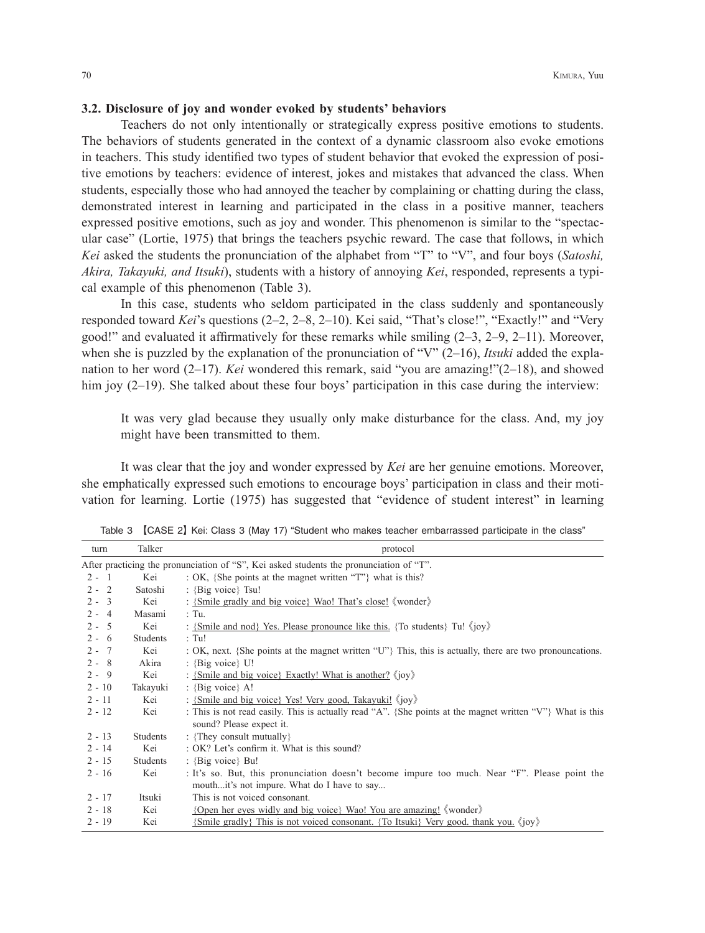### **3.2. Disclosure of joy and wonder evoked by students' behaviors**

Teachers do not only intentionally or strategically express positive emotions to students. The behaviors of students generated in the context of a dynamic classroom also evoke emotions in teachers. This study identified two types of student behavior that evoked the expression of positive emotions by teachers: evidence of interest, jokes and mistakes that advanced the class. When students, especially those who had annoyed the teacher by complaining or chatting during the class, demonstrated interest in learning and participated in the class in a positive manner, teachers expressed positive emotions, such as joy and wonder. This phenomenon is similar to the "spectacular case" (Lortie, 1975) that brings the teachers psychic reward. The case that follows, in which *Kei* asked the students the pronunciation of the alphabet from "T" to "V", and four boys (*Satoshi, Akira, Takayuki, and Itsuki*), students with a history of annoying *Kei*, responded, represents a typical example of this phenomenon (Table 3).

In this case, students who seldom participated in the class suddenly and spontaneously responded toward *Kei*'s questions (2–2, 2–8, 2–10). Kei said, "That's close!", "Exactly!" and "Very good!" and evaluated it affirmatively for these remarks while smiling  $(2-3, 2-9, 2-11)$ . Moreover, when she is puzzled by the explanation of the pronunciation of "V" (2–16), *Itsuki* added the explanation to her word (2–17). *Kei* wondered this remark, said "you are amazing!"(2–18), and showed him joy (2–19). She talked about these four boys' participation in this case during the interview:

It was very glad because they usually only make disturbance for the class. And, my joy might have been transmitted to them.

It was clear that the joy and wonder expressed by *Kei* are her genuine emotions. Moreover, she emphatically expressed such emotions to encourage boys' participation in class and their motivation for learning. Lortie (1975) has suggested that "evidence of student interest" in learning

| turn     | Talker   | protocol                                                                                                                        |
|----------|----------|---------------------------------------------------------------------------------------------------------------------------------|
|          |          | After practicing the pronunciation of "S", Kei asked students the pronunciation of "T".                                         |
| $2 - 1$  | Kei      | : OK, {She points at the magnet written "T"} what is this?                                                                      |
| $2 - 2$  | Satoshi  | : {Big voice} Tsu!                                                                                                              |
| $2 - 3$  | Kei      | : {Smile gradly and big voice} Wao! That's close! 《wonder》                                                                      |
| $2 - 4$  | Masami   | $\therefore$ Tu.                                                                                                                |
| $2 - 5$  | Kei      | : {Smile and nod} Yes. Please pronounce like this. {To students} Tu! $\langle$ ioy}                                             |
| $2 - 6$  | Students | $:$ Tu!                                                                                                                         |
| $2 - 7$  | Kei      | : OK, next. {She points at the magnet written "U"} This, this is actually, there are two pronouncations.                        |
| $2 - 8$  | Akira    | : {Big voice} $U!$                                                                                                              |
| $2 - 9$  | Kei      | : {Smile and big voice} Exactly! What is another? $\langle$ ioy $\rangle$                                                       |
| $2 - 10$ | Takayuki | : {Big voice} $A!$                                                                                                              |
| $2 - 11$ | Kei      | : {Smile and big voice} Yes! Very good, Takayuki! (joy)                                                                         |
| $2 - 12$ | Kei      | This is not read easily. This is actually read "A". {She points at the magnet written "V"} What is this                         |
|          |          | sound? Please expect it.                                                                                                        |
| $2 - 13$ | Students | : {They consult mutually}                                                                                                       |
| $2 - 14$ | Kei      | : OK? Let's confirm it. What is this sound?                                                                                     |
| $2 - 15$ | Students | : {Big voice} Bu!                                                                                                               |
| $2 - 16$ | Kei      | : It's so. But, this pronunciation doesn't become impure too much. Near "F". Please point the                                   |
|          |          | mouthit's not impure. What do I have to say                                                                                     |
| $2 - 17$ | Itsuki   | This is not voiced consonant.                                                                                                   |
| $2 - 18$ | Kei      | {Open her eyes widly and big voice} Wao! You are amazing! 《wonder》                                                              |
| $2 - 19$ | Kei      | $\{\text{Smile gradually}\}\$ This is not voiced consonant. $\{\text{To Itsuki}\}\$ Very good, thank you, $\langle joy \rangle$ |

Table 3 【CASE 2】 Kei: Class 3 (May 17) "Student who makes teacher embarrassed participate in the class"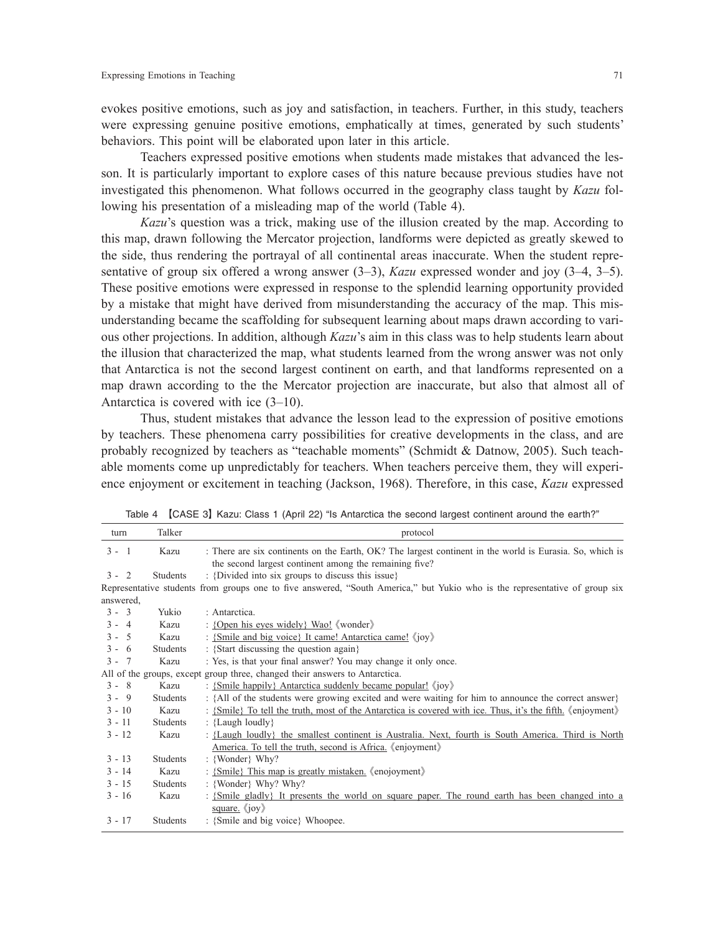evokes positive emotions, such as joy and satisfaction, in teachers. Further, in this study, teachers were expressing genuine positive emotions, emphatically at times, generated by such students' behaviors. This point will be elaborated upon later in this article.

Teachers expressed positive emotions when students made mistakes that advanced the lesson. It is particularly important to explore cases of this nature because previous studies have not investigated this phenomenon. What follows occurred in the geography class taught by *Kazu* following his presentation of a misleading map of the world (Table 4).

*Kazu*'s question was a trick, making use of the illusion created by the map. According to this map, drawn following the Mercator projection, landforms were depicted as greatly skewed to the side, thus rendering the portrayal of all continental areas inaccurate. When the student representative of group six offered a wrong answer (3–3), *Kazu* expressed wonder and joy (3–4, 3–5). These positive emotions were expressed in response to the splendid learning opportunity provided by a mistake that might have derived from misunderstanding the accuracy of the map. This misunderstanding became the scaffolding for subsequent learning about maps drawn according to various other projections. In addition, although *Kazu*'s aim in this class was to help students learn about the illusion that characterized the map, what students learned from the wrong answer was not only that Antarctica is not the second largest continent on earth, and that landforms represented on a map drawn according to the the Mercator projection are inaccurate, but also that almost all of Antarctica is covered with ice (3–10).

Thus, student mistakes that advance the lesson lead to the expression of positive emotions by teachers. These phenomena carry possibilities for creative developments in the class, and are probably recognized by teachers as "teachable moments" (Schmidt & Datnow, 2005). Such teachable moments come up unpredictably for teachers. When teachers perceive them, they will experience enjoyment or excitement in teaching (Jackson, 1968). Therefore, in this case, *Kazu* expressed

| turn      | Talker          | protocol                                                                                                                                                           |
|-----------|-----------------|--------------------------------------------------------------------------------------------------------------------------------------------------------------------|
| $3 - 1$   | Kazu            | : There are six continents on the Earth, OK? The largest continent in the world is Eurasia. So, which is<br>the second largest continent among the remaining five? |
| $3 - 2$   | <b>Students</b> | : {Divided into six groups to discuss this issue}                                                                                                                  |
|           |                 | Representative students from groups one to five answered, "South America," but Yukio who is the representative of group six                                        |
| answered, |                 |                                                                                                                                                                    |
| $3 - 3$   | Yukio           | : Antarctica.                                                                                                                                                      |
| $3 - 4$   | Kazu            | : {Open his eyes widely} Wao! 《wonder》                                                                                                                             |
| $3 - 5$   | Kazu            | : {Smile and big voice} It came! Antarctica came! (joy)                                                                                                            |
| $3 - 6$   | Students        | : {Start discussing the question again}                                                                                                                            |
| $3 - 7$   | Kazu            | : Yes, is that your final answer? You may change it only once.                                                                                                     |
|           |                 | All of the groups, except group three, changed their answers to Antarctica.                                                                                        |
| $3 - 8$   | Kazu            | : {Smile happily} Antarctica suddenly became popular! (joy)                                                                                                        |
| $3 - 9$   | Students        | : {All of the students were growing excited and were waiting for him to announce the correct answer}                                                               |
| $3 - 10$  | Kazu            | : {Smile} To tell the truth, most of the Antarctica is covered with ice. Thus, it's the fifth. (enjoyment)                                                         |
| $3 - 11$  | Students        | : {Laugh loudly}                                                                                                                                                   |
| $3 - 12$  | Kazu            | : {Laugh loudly} the smallest continent is Australia. Next, fourth is South America. Third is North                                                                |
| $3 - 13$  | <b>Students</b> | America. To tell the truth, second is Africa. (enjoyment)<br>: {Wonder} Why?                                                                                       |
| $3 - 14$  | Kazu            | : {Smile} This map is greatly mistaken. (enojoyment)                                                                                                               |
| $3 - 15$  | Students        | : {Wonder} Why? Why?                                                                                                                                               |
| $3 - 16$  | Kazu            |                                                                                                                                                                    |
|           |                 | : {Smile gladly} It presents the world on square paper. The round earth has been changed into a<br>square. $\langle$ joy $\rangle$                                 |
| $3 - 17$  | Students        | : {Smile and big voice} Whoopee.                                                                                                                                   |

Table 4 【CASE 3】 Kazu: Class 1 (April 22) "Is Antarctica the second largest continent around the earth?"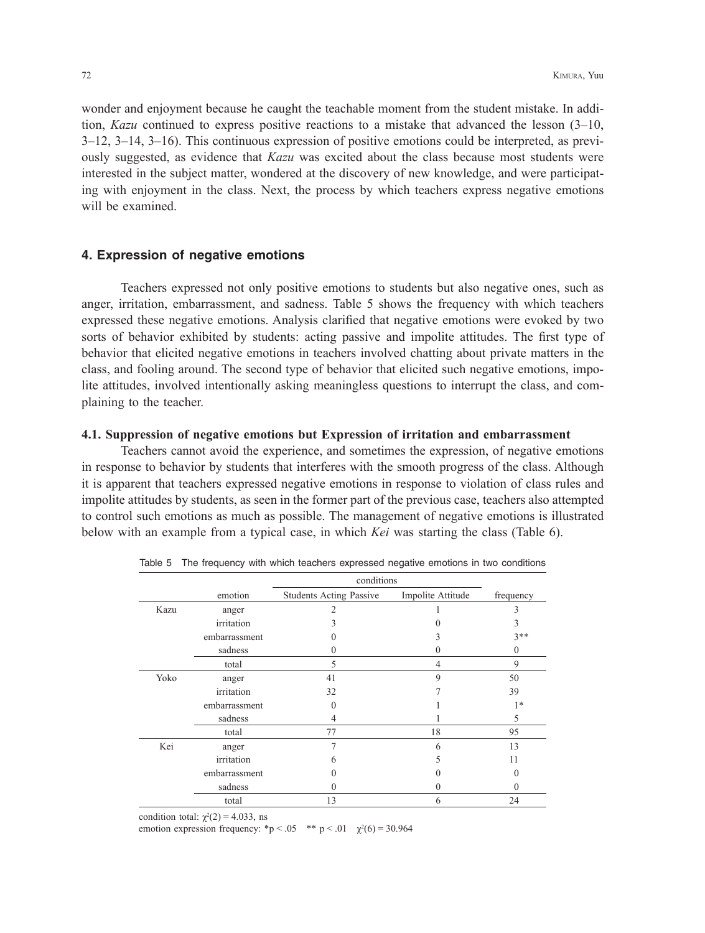wonder and enjoyment because he caught the teachable moment from the student mistake. In addition, *Kazu* continued to express positive reactions to a mistake that advanced the lesson (3–10, 3–12, 3–14, 3–16). This continuous expression of positive emotions could be interpreted, as previously suggested, as evidence that *Kazu* was excited about the class because most students were interested in the subject matter, wondered at the discovery of new knowledge, and were participating with enjoyment in the class. Next, the process by which teachers express negative emotions will be examined.

### **4. Expression of negative emotions**

Teachers expressed not only positive emotions to students but also negative ones, such as anger, irritation, embarrassment, and sadness. Table 5 shows the frequency with which teachers expressed these negative emotions. Analysis clarified that negative emotions were evoked by two sorts of behavior exhibited by students: acting passive and impolite attitudes. The first type of behavior that elicited negative emotions in teachers involved chatting about private matters in the class, and fooling around. The second type of behavior that elicited such negative emotions, impolite attitudes, involved intentionally asking meaningless questions to interrupt the class, and complaining to the teacher.

### **4.1. Suppression of negative emotions but Expression of irritation and embarrassment**

Teachers cannot avoid the experience, and sometimes the expression, of negative emotions in response to behavior by students that interferes with the smooth progress of the class. Although it is apparent that teachers expressed negative emotions in response to violation of class rules and impolite attitudes by students, as seen in the former part of the previous case, teachers also attempted to control such emotions as much as possible. The management of negative emotions is illustrated below with an example from a typical case, in which *Kei* was starting the class (Table 6).

|      |               | conditions                     |                   |           |
|------|---------------|--------------------------------|-------------------|-----------|
|      | emotion       | <b>Students Acting Passive</b> | Impolite Attitude | frequency |
| Kazu | anger         | $\overline{c}$                 |                   | 3         |
|      | irritation    | 3                              |                   | 3         |
|      | embarrassment |                                | 3                 | $3**$     |
|      | sadness       |                                | 0                 | $\theta$  |
|      | total         | 5                              | 4                 | 9         |
| Yoko | anger         | 41                             | 9                 | 50        |
|      | irritation    | 32                             |                   | 39        |
|      | embarrassment | 0                              |                   | $1*$      |
|      | sadness       | 4                              |                   | 5         |
|      | total         | 77                             | 18                | 95        |
| Kei  | anger         | 7                              | 6                 | 13        |
|      | irritation    | h                              | 5                 | 11        |
|      | embarrassment |                                |                   | $\Omega$  |
|      | sadness       |                                | 0                 | 0         |
|      | total         | 13                             | 6                 | 24        |

Table 5 The frequency with which teachers expressed negative emotions in two conditions

condition total:  $\chi^2(2) = 4.033$ , ns

emotion expression frequency: \*p < .05 \*\* p < .01  $\chi^2(6) = 30.964$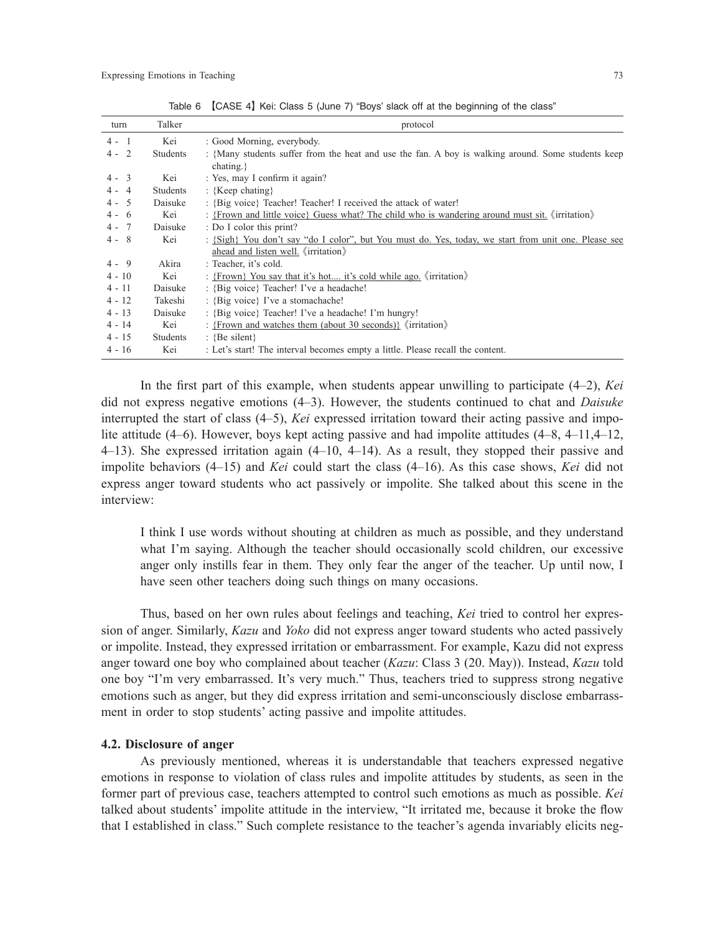| turn     | Talker          | protocol                                                                                                                |
|----------|-----------------|-------------------------------------------------------------------------------------------------------------------------|
| $4 - 1$  | Kei             | : Good Morning, everybody.                                                                                              |
| $4 - 2$  | <b>Students</b> | : {Many students suffer from the heat and use the fan. A boy is walking around. Some students keep<br>$\text{chating.}$ |
| $4 - 3$  | Kei             | : Yes, may I confirm it again?                                                                                          |
| $4 - 4$  | Students        | : {Keep chating}                                                                                                        |
| $4 - 5$  | Daisuke         | : {Big voice} Teacher! Teacher! I received the attack of water!                                                         |
| $4 - 6$  | Kei             | : {Frown and little voice} Guess what? The child who is wandering around must sit. $\langle$ irritation $\rangle$       |
| $4 - 7$  | Daisuke         | : Do I color this print?                                                                                                |
| $4 - 8$  | Kei             | : {Sigh} You don't say "do I color", but You must do. Yes, today, we start from unit one. Please see                    |
|          |                 | ahead and listen well. 《irritation》                                                                                     |
| $4 - 9$  | Akira           | : Teacher, it's cold.                                                                                                   |
| $4 - 10$ | Kei             | : {Frown} You say that it's hot it's cold while ago. $\langle$ irritation $\rangle$                                     |
| $4 - 11$ | Daisuke         | : {Big voice} Teacher! I've a headache!                                                                                 |
| $4 - 12$ | Takeshi         | : {Big voice} I've a stomachache!                                                                                       |
| $4 - 13$ | Daisuke         | : {Big voice} Teacher! I've a headache! I'm hungry!                                                                     |
| $4 - 14$ | Kei             | : {Frown and watches them (about 30 seconds)} $\langle$ irritation $\rangle$                                            |
| $4 - 15$ | <b>Students</b> | : {Be silent}                                                                                                           |
| $4 - 16$ | Kei             | : Let's start! The interval becomes empty a little. Please recall the content.                                          |

Table 6 【CASE 4】 Kei: Class 5 (June 7) "Boys' slack off at the beginning of the class"

In the first part of this example, when students appear unwilling to participate (4–2), *Kei* did not express negative emotions (4–3). However, the students continued to chat and *Daisuke* interrupted the start of class (4–5), *Kei* expressed irritation toward their acting passive and impolite attitude (4–6). However, boys kept acting passive and had impolite attitudes (4–8, 4–11,4–12, 4–13). She expressed irritation again (4–10, 4–14). As a result, they stopped their passive and impolite behaviors (4–15) and *Kei* could start the class (4–16). As this case shows, *Kei* did not express anger toward students who act passively or impolite. She talked about this scene in the interview:

I think I use words without shouting at children as much as possible, and they understand what I'm saying. Although the teacher should occasionally scold children, our excessive anger only instills fear in them. They only fear the anger of the teacher. Up until now, I have seen other teachers doing such things on many occasions.

Thus, based on her own rules about feelings and teaching, *Kei* tried to control her expression of anger. Similarly, *Kazu* and *Yoko* did not express anger toward students who acted passively or impolite. Instead, they expressed irritation or embarrassment. For example, Kazu did not express anger toward one boy who complained about teacher (*Kazu*: Class 3 (20. May)). Instead, *Kazu* told one boy "I'm very embarrassed. It's very much." Thus, teachers tried to suppress strong negative emotions such as anger, but they did express irritation and semi-unconsciously disclose embarrassment in order to stop students' acting passive and impolite attitudes.

#### **4.2. Disclosure of anger**

As previously mentioned, whereas it is understandable that teachers expressed negative emotions in response to violation of class rules and impolite attitudes by students, as seen in the former part of previous case, teachers attempted to control such emotions as much as possible. *Kei* talked about students' impolite attitude in the interview, "It irritated me, because it broke the flow that I established in class." Such complete resistance to the teacher's agenda invariably elicits neg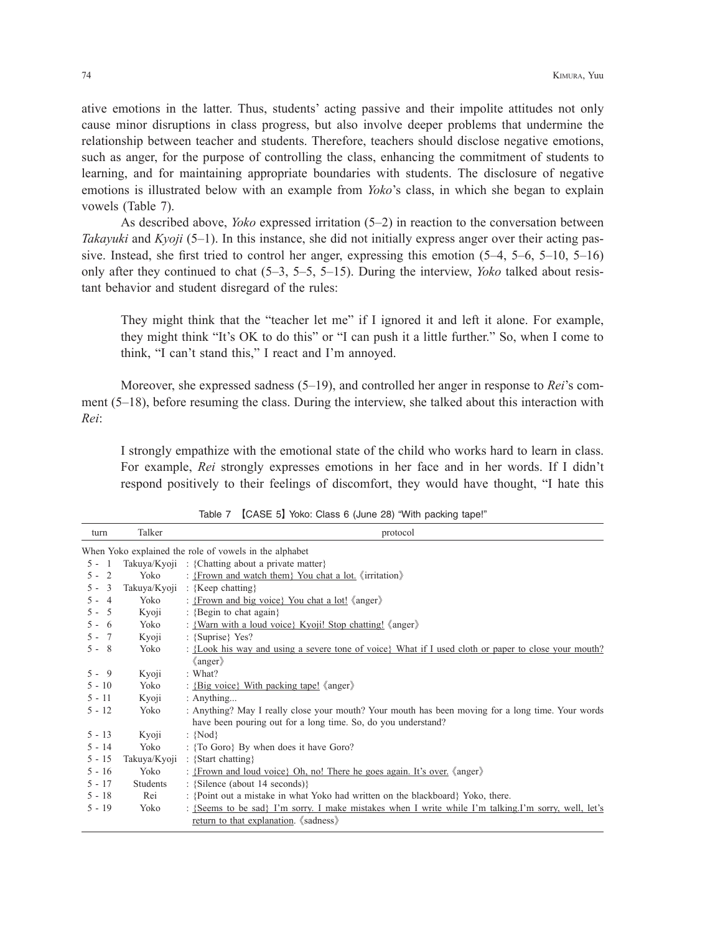ative emotions in the latter. Thus, students' acting passive and their impolite attitudes not only cause minor disruptions in class progress, but also involve deeper problems that undermine the relationship between teacher and students. Therefore, teachers should disclose negative emotions, such as anger, for the purpose of controlling the class, enhancing the commitment of students to learning, and for maintaining appropriate boundaries with students. The disclosure of negative emotions is illustrated below with an example from *Yoko*'s class, in which she began to explain vowels (Table 7).

As described above, *Yoko* expressed irritation (5–2) in reaction to the conversation between *Takayuki* and *Kyoji* (5–1). In this instance, she did not initially express anger over their acting passive. Instead, she first tried to control her anger, expressing this emotion (5–4, 5–6, 5–10, 5–16) only after they continued to chat (5–3, 5–5, 5–15). During the interview, *Yoko* talked about resistant behavior and student disregard of the rules:

They might think that the "teacher let me" if I ignored it and left it alone. For example, they might think "It's OK to do this" or "I can push it a little further." So, when I come to think, "I can't stand this," I react and I'm annoyed.

Moreover, she expressed sadness (5–19), and controlled her anger in response to *Rei*'s comment (5–18), before resuming the class. During the interview, she talked about this interaction with *Rei*:

I strongly empathize with the emotional state of the child who works hard to learn in class. For example, *Rei* strongly expresses emotions in her face and in her words. If I didn't respond positively to their feelings of discomfort, they would have thought, "I hate this

| turn                    | Talker          | protocol                                                                                                                                             |
|-------------------------|-----------------|------------------------------------------------------------------------------------------------------------------------------------------------------|
|                         |                 | When Yoko explained the role of vowels in the alphabet                                                                                               |
| $5 - 1$                 |                 | Takuya/Kyoji: {Chatting about a private matter}                                                                                                      |
| $5 - 2$                 | Yoko            | : {Frown and watch them} You chat a lot. 《irritation》                                                                                                |
| $\overline{3}$<br>$5 -$ | Takuya/Kyoji    | : {Keep chatting}                                                                                                                                    |
| $5 - 4$                 | Yoko            | : {Frown and big voice} You chat a lot! 《anger》                                                                                                      |
| $5 - 5$                 | Kyoji           | : {Begin to chat again}                                                                                                                              |
| $5 - 6$                 | Yoko            | : {Warn with a loud voice} Kyoji! Stop chatting! 《anger》                                                                                             |
| $5 - 7$                 | Kyoji           | : {Suprise} Yes?                                                                                                                                     |
| $5 - 8$                 | Yoko            | : {Look his way and using a severe tone of voice} What if I used cloth or paper to close your mouth?                                                 |
|                         |                 | $\langle$ anger $\rangle$                                                                                                                            |
| $5 - 9$                 | Kyoji           | : What?                                                                                                                                              |
| $5 - 10$                | Yoko            | : {Big voice} With packing tape! 《anger》                                                                                                             |
| $5 - 11$                | Kyoji           | : Anything                                                                                                                                           |
| $5 - 12$                | Yoko            | : Anything? May I really close your mouth? Your mouth has been moving for a long time. Your words                                                    |
|                         |                 | have been pouring out for a long time. So, do you understand?                                                                                        |
| $5 - 13$                | Kyoji           | : ${Nod}$                                                                                                                                            |
| $5 - 14$                | Yoko            | : {To Goro} By when does it have Goro?                                                                                                               |
| $5 - 15$                | Takuya/Kyoji    | : {Start chatting}                                                                                                                                   |
| $5 - 16$                | Yoko            | : {Frown and loud voice} Oh, no! There he goes again. It's over. 《anger》                                                                             |
| $5 - 17$                | <b>Students</b> | : {Silence (about 14 seconds)}                                                                                                                       |
| $5 - 18$                | Rei             | : {Point out a mistake in what Yoko had written on the blackboard} Yoko, there.                                                                      |
| $5 - 19$                | Yoko            | : {Seems to be sad} I'm sorry. I make mistakes when I write while I'm talking.I'm sorry, well, let's<br>return to that explanation. <i>(sadness)</i> |

Table 7 【CASE 5】 Yoko: Class 6 (June 28) "With packing tape!"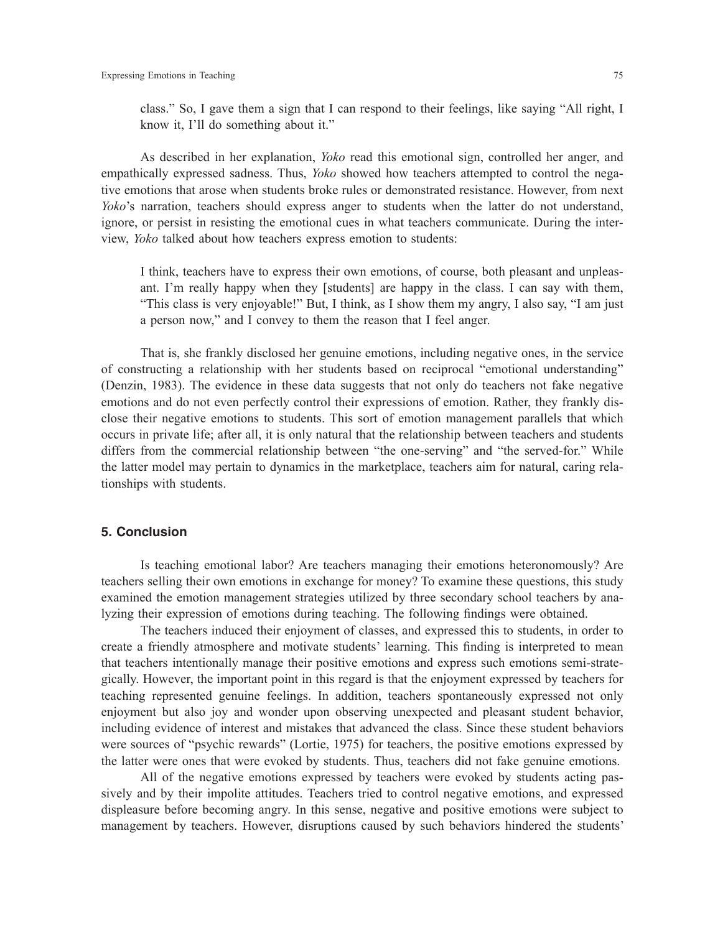class." So, I gave them a sign that I can respond to their feelings, like saying "All right, I know it, I'll do something about it."

As described in her explanation, *Yoko* read this emotional sign, controlled her anger, and empathically expressed sadness. Thus, *Yoko* showed how teachers attempted to control the negative emotions that arose when students broke rules or demonstrated resistance. However, from next *Yoko*'s narration, teachers should express anger to students when the latter do not understand, ignore, or persist in resisting the emotional cues in what teachers communicate. During the interview, *Yoko* talked about how teachers express emotion to students:

I think, teachers have to express their own emotions, of course, both pleasant and unpleasant. I'm really happy when they [students] are happy in the class. I can say with them, "This class is very enjoyable!" But, I think, as I show them my angry, I also say, "I am just a person now," and I convey to them the reason that I feel anger.

That is, she frankly disclosed her genuine emotions, including negative ones, in the service of constructing a relationship with her students based on reciprocal "emotional understanding" (Denzin, 1983). The evidence in these data suggests that not only do teachers not fake negative emotions and do not even perfectly control their expressions of emotion. Rather, they frankly disclose their negative emotions to students. This sort of emotion management parallels that which occurs in private life; after all, it is only natural that the relationship between teachers and students differs from the commercial relationship between "the one-serving" and "the served-for." While the latter model may pertain to dynamics in the marketplace, teachers aim for natural, caring relationships with students.

### **5. Conclusion**

Is teaching emotional labor? Are teachers managing their emotions heteronomously? Are teachers selling their own emotions in exchange for money? To examine these questions, this study examined the emotion management strategies utilized by three secondary school teachers by analyzing their expression of emotions during teaching. The following findings were obtained.

The teachers induced their enjoyment of classes, and expressed this to students, in order to create a friendly atmosphere and motivate students' learning. This finding is interpreted to mean that teachers intentionally manage their positive emotions and express such emotions semi-strategically. However, the important point in this regard is that the enjoyment expressed by teachers for teaching represented genuine feelings. In addition, teachers spontaneously expressed not only enjoyment but also joy and wonder upon observing unexpected and pleasant student behavior, including evidence of interest and mistakes that advanced the class. Since these student behaviors were sources of "psychic rewards" (Lortie, 1975) for teachers, the positive emotions expressed by the latter were ones that were evoked by students. Thus, teachers did not fake genuine emotions.

All of the negative emotions expressed by teachers were evoked by students acting passively and by their impolite attitudes. Teachers tried to control negative emotions, and expressed displeasure before becoming angry. In this sense, negative and positive emotions were subject to management by teachers. However, disruptions caused by such behaviors hindered the students'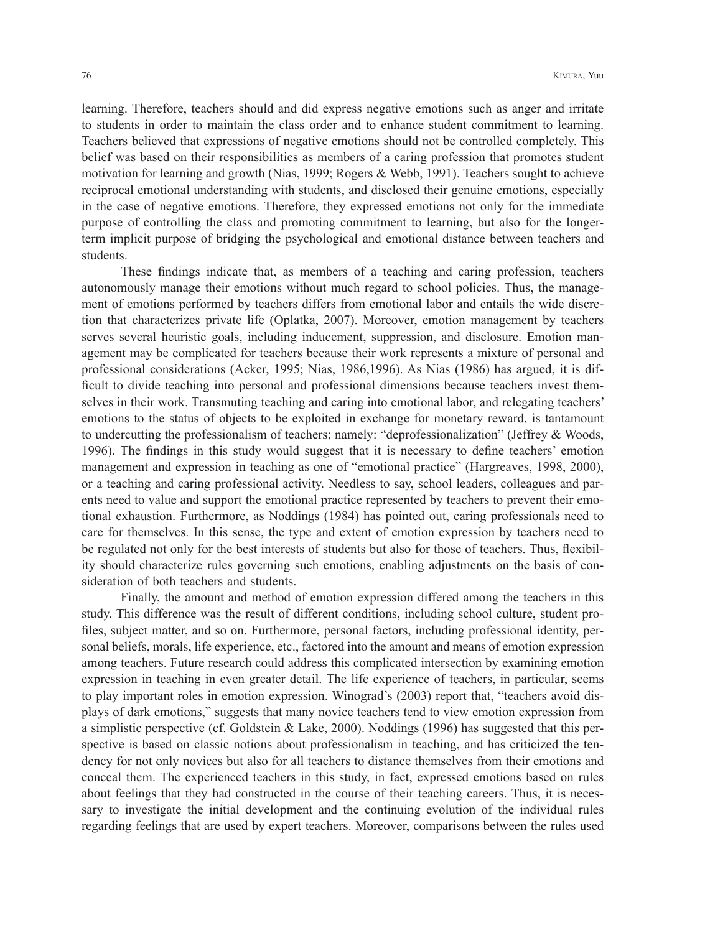learning. Therefore, teachers should and did express negative emotions such as anger and irritate to students in order to maintain the class order and to enhance student commitment to learning. Teachers believed that expressions of negative emotions should not be controlled completely. This belief was based on their responsibilities as members of a caring profession that promotes student motivation for learning and growth (Nias, 1999; Rogers & Webb, 1991). Teachers sought to achieve reciprocal emotional understanding with students, and disclosed their genuine emotions, especially in the case of negative emotions. Therefore, they expressed emotions not only for the immediate purpose of controlling the class and promoting commitment to learning, but also for the longerterm implicit purpose of bridging the psychological and emotional distance between teachers and students.

These findings indicate that, as members of a teaching and caring profession, teachers autonomously manage their emotions without much regard to school policies. Thus, the management of emotions performed by teachers differs from emotional labor and entails the wide discretion that characterizes private life (Oplatka, 2007). Moreover, emotion management by teachers serves several heuristic goals, including inducement, suppression, and disclosure. Emotion management may be complicated for teachers because their work represents a mixture of personal and professional considerations (Acker, 1995; Nias, 1986,1996). As Nias (1986) has argued, it is difficult to divide teaching into personal and professional dimensions because teachers invest themselves in their work. Transmuting teaching and caring into emotional labor, and relegating teachers' emotions to the status of objects to be exploited in exchange for monetary reward, is tantamount to undercutting the professionalism of teachers; namely: "deprofessionalization" (Jeffrey & Woods, 1996). The findings in this study would suggest that it is necessary to define teachers' emotion management and expression in teaching as one of "emotional practice" (Hargreaves, 1998, 2000), or a teaching and caring professional activity. Needless to say, school leaders, colleagues and parents need to value and support the emotional practice represented by teachers to prevent their emotional exhaustion. Furthermore, as Noddings (1984) has pointed out, caring professionals need to care for themselves. In this sense, the type and extent of emotion expression by teachers need to be regulated not only for the best interests of students but also for those of teachers. Thus, flexibility should characterize rules governing such emotions, enabling adjustments on the basis of consideration of both teachers and students.

Finally, the amount and method of emotion expression differed among the teachers in this study. This difference was the result of different conditions, including school culture, student profiles, subject matter, and so on. Furthermore, personal factors, including professional identity, personal beliefs, morals, life experience, etc., factored into the amount and means of emotion expression among teachers. Future research could address this complicated intersection by examining emotion expression in teaching in even greater detail. The life experience of teachers, in particular, seems to play important roles in emotion expression. Winograd's (2003) report that, "teachers avoid displays of dark emotions," suggests that many novice teachers tend to view emotion expression from a simplistic perspective (cf. Goldstein & Lake, 2000). Noddings (1996) has suggested that this perspective is based on classic notions about professionalism in teaching, and has criticized the tendency for not only novices but also for all teachers to distance themselves from their emotions and conceal them. The experienced teachers in this study, in fact, expressed emotions based on rules about feelings that they had constructed in the course of their teaching careers. Thus, it is necessary to investigate the initial development and the continuing evolution of the individual rules regarding feelings that are used by expert teachers. Moreover, comparisons between the rules used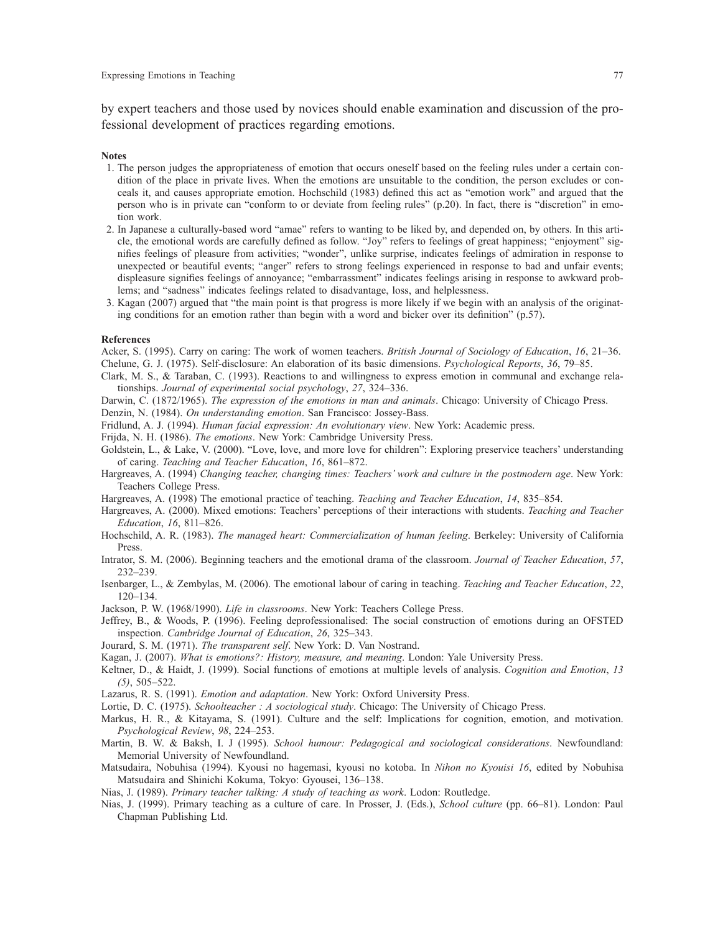by expert teachers and those used by novices should enable examination and discussion of the professional development of practices regarding emotions.

#### **Notes**

- 1. The person judges the appropriateness of emotion that occurs oneself based on the feeling rules under a certain condition of the place in private lives. When the emotions are unsuitable to the condition, the person excludes or conceals it, and causes appropriate emotion. Hochschild (1983) defined this act as "emotion work" and argued that the person who is in private can "conform to or deviate from feeling rules" (p.20). In fact, there is "discretion" in emotion work.
- 2. In Japanese a culturally-based word "amae" refers to wanting to be liked by, and depended on, by others. In this article, the emotional words are carefully defined as follow. "Joy" refers to feelings of great happiness; "enjoyment" signifies feelings of pleasure from activities; "wonder", unlike surprise, indicates feelings of admiration in response to unexpected or beautiful events; "anger" refers to strong feelings experienced in response to bad and unfair events; displeasure signifies feelings of annoyance; "embarrassment" indicates feelings arising in response to awkward problems; and "sadness" indicates feelings related to disadvantage, loss, and helplessness.
- 3. Kagan (2007) argued that "the main point is that progress is more likely if we begin with an analysis of the originating conditions for an emotion rather than begin with a word and bicker over its definition" (p.57).

#### **References**

Acker, S. (1995). Carry on caring: The work of women teachers. *British Journal of Sociology of Education*, *16*, 21–36. Chelune, G. J. (1975). Self-disclosure: An elaboration of its basic dimensions. *Psychological Reports*, *36*, 79–85.

- Clark, M. S., & Taraban, C. (1993). Reactions to and willingness to express emotion in communal and exchange relationships. *Journal of experimental social psychology*, *27*, 324–336.
- Darwin, C. (1872/1965). *The expression of the emotions in man and animals*. Chicago: University of Chicago Press.

Denzin, N. (1984). *On understanding emotion*. San Francisco: Jossey-Bass.

- Fridlund, A. J. (1994). *Human facial expression: An evolutionary view*. New York: Academic press.
- Frijda, N. H. (1986). *The emotions*. New York: Cambridge University Press.
- Goldstein, L., & Lake, V. (2000). "Love, love, and more love for children": Exploring preservice teachers' understanding of caring. *Teaching and Teacher Education*, *16*, 861–872.
- Hargreaves, A. (1994) *Changing teacher, changing times: Teachers' work and culture in the postmodern age*. New York: Teachers College Press.
- Hargreaves, A. (1998) The emotional practice of teaching. *Teaching and Teacher Education*, *14*, 835–854.
- Hargreaves, A. (2000). Mixed emotions: Teachers' perceptions of their interactions with students. *Teaching and Teacher Education*, *16*, 811–826.
- Hochschild, A. R. (1983). *The managed heart: Commercialization of human feeling*. Berkeley: University of California Press.
- Intrator, S. M. (2006). Beginning teachers and the emotional drama of the classroom. *Journal of Teacher Education*, *57*, 232–239.
- Isenbarger, L., & Zembylas, M. (2006). The emotional labour of caring in teaching. *Teaching and Teacher Education*, *22*, 120–134.
- Jackson, P. W. (1968/1990). *Life in classrooms*. New York: Teachers College Press.
- Jeffrey, B., & Woods, P. (1996). Feeling deprofessionalised: The social construction of emotions during an OFSTED inspection. *Cambridge Journal of Education*, *26*, 325–343.
- Jourard, S. M. (1971). *The transparent self*. New York: D. Van Nostrand.
- Kagan, J. (2007). *What is emotions?: History, measure, and meaning*. London: Yale University Press.
- Keltner, D., & Haidt, J. (1999). Social functions of emotions at multiple levels of analysis. *Cognition and Emotion*, *13 (5)*, 505–522.
- Lazarus, R. S. (1991). *Emotion and adaptation*. New York: Oxford University Press.
- Lortie, D. C. (1975). *Schoolteacher : A sociological study*. Chicago: The University of Chicago Press.
- Markus, H. R., & Kitayama, S. (1991). Culture and the self: Implications for cognition, emotion, and motivation. *Psychological Review*, *98*, 224–253.
- Martin, B. W. & Baksh, I. J (1995). *School humour: Pedagogical and sociological considerations*. Newfoundland: Memorial University of Newfoundland.
- Matsudaira, Nobuhisa (1994). Kyousi no hagemasi, kyousi no kotoba. In *Nihon no Kyouisi 16*, edited by Nobuhisa Matsudaira and Shinichi Kokuma, Tokyo: Gyousei, 136–138.
- Nias, J. (1989). *Primary teacher talking: A study of teaching as work*. Lodon: Routledge.
- Nias, J. (1999). Primary teaching as a culture of care. In Prosser, J. (Eds.), *School culture* (pp. 66–81). London: Paul Chapman Publishing Ltd.